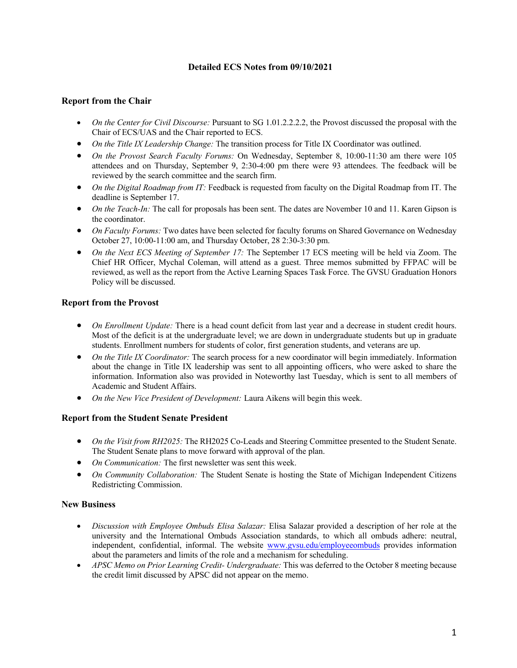# **Detailed ECS Notes from 09/10/2021**

### **Report from the Chair**

- *On the Center for Civil Discourse:* Pursuant to SG 1.01.2.2.2.2, the Provost discussed the proposal with the Chair of ECS/UAS and the Chair reported to ECS.
- *On the Title IX Leadership Change:* The transition process for Title IX Coordinator was outlined.
- *On the Provost Search Faculty Forums:* On Wednesday, September 8, 10:00-11:30 am there were 105 attendees and on Thursday, September 9, 2:30-4:00 pm there were 93 attendees. The feedback will be reviewed by the search committee and the search firm.
- *On the Digital Roadmap from IT:* Feedback is requested from faculty on the Digital Roadmap from IT. The deadline is September 17.
- *On the Teach-In:* The call for proposals has been sent. The dates are November 10 and 11. Karen Gipson is the coordinator.
- *On Faculty Forums:* Two dates have been selected for faculty forums on Shared Governance on Wednesday October 27, 10:00-11:00 am, and Thursday October, 28 2:30-3:30 pm.
- *On the Next ECS Meeting of September 17:* The September 17 ECS meeting will be held via Zoom. The Chief HR Officer, Mychal Coleman, will attend as a guest. Three memos submitted by FFPAC will be reviewed, as well as the report from the Active Learning Spaces Task Force. The GVSU Graduation Honors Policy will be discussed.

### **Report from the Provost**

- *On Enrollment Update:* There is a head count deficit from last year and a decrease in student credit hours. Most of the deficit is at the undergraduate level; we are down in undergraduate students but up in graduate students. Enrollment numbers for students of color, first generation students, and veterans are up.
- *On the Title IX Coordinator:* The search process for a new coordinator will begin immediately. Information about the change in Title IX leadership was sent to all appointing officers, who were asked to share the information. Information also was provided in Noteworthy last Tuesday, which is sent to all members of Academic and Student Affairs.
- *On the New Vice President of Development:* Laura Aikens will begin this week.

## **Report from the Student Senate President**

- *On the Visit from RH2025:* The RH2025 Co-Leads and Steering Committee presented to the Student Senate. The Student Senate plans to move forward with approval of the plan.
- *On Communication:* The first newsletter was sent this week.
- *On Community Collaboration:* The Student Senate is hosting the State of Michigan Independent Citizens Redistricting Commission.

#### **New Business**

- *Discussion with Employee Ombuds Elisa Salazar:* Elisa Salazar provided a description of her role at the university and the International Ombuds Association standards, to which all ombuds adhere: neutral, independent, confidential, informal. The website www.gvsu.edu/employeeombuds provides information about the parameters and limits of the role and a mechanism for scheduling.
- *APSC Memo on Prior Learning Credit- Undergraduate:* This was deferred to the October 8 meeting because the credit limit discussed by APSC did not appear on the memo.